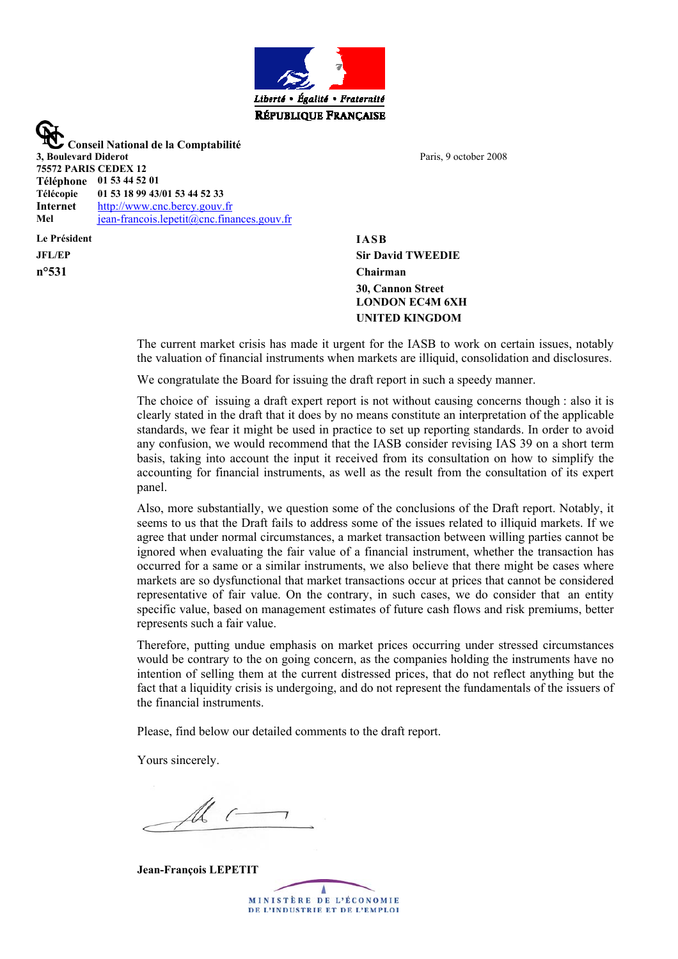

 **Conseil National de la Comptabilité 3, Boulevard Diderot 75572 PARIS CEDEX 12 Téléphone 01 53 44 52 01 Télécopie 01 53 18 99 43/01 53 44 52 33 Internet** [http://www.cnc.bercy.gouv.fr](http://www.cnc.bercy.gouv.fr/) Mel **[jean-francois.lepetit@cnc.finances.gouv.fr](mailto:jean-francois.lepetit@cnc.finances.gouv.fr)** 

**Le Président IASB JFL/EP n°531**

Paris, 9 october 2008

**Sir David TWEEDIE Chairman 30, Cannon Street LONDON EC4M 6XH UNITED KINGDOM**

The current market crisis has made it urgent for the IASB to work on certain issues, notably the valuation of financial instruments when markets are illiquid, consolidation and disclosures.

We congratulate the Board for issuing the draft report in such a speedy manner.

The choice of issuing a draft expert report is not without causing concerns though : also it is clearly stated in the draft that it does by no means constitute an interpretation of the applicable standards, we fear it might be used in practice to set up reporting standards. In order to avoid any confusion, we would recommend that the IASB consider revising IAS 39 on a short term basis, taking into account the input it received from its consultation on how to simplify the accounting for financial instruments, as well as the result from the consultation of its expert panel.

Also, more substantially, we question some of the conclusions of the Draft report. Notably, it seems to us that the Draft fails to address some of the issues related to illiquid markets. If we agree that under normal circumstances, a market transaction between willing parties cannot be ignored when evaluating the fair value of a financial instrument, whether the transaction has occurred for a same or a similar instruments, we also believe that there might be cases where markets are so dysfunctional that market transactions occur at prices that cannot be considered representative of fair value. On the contrary, in such cases, we do consider that an entity specific value, based on management estimates of future cash flows and risk premiums, better represents such a fair value.

Therefore, putting undue emphasis on market prices occurring under stressed circumstances would be contrary to the on going concern, as the companies holding the instruments have no intention of selling them at the current distressed prices, that do not reflect anything but the fact that a liquidity crisis is undergoing, and do not represent the fundamentals of the issuers of the financial instruments.

Please, find below our detailed comments to the draft report.

Yours sincerely.

**Jean-François LEPETIT**

MINISTÈRE DE L'ÉCONOMIE DE L'INDUSTRIE ET DE L'EMPLOI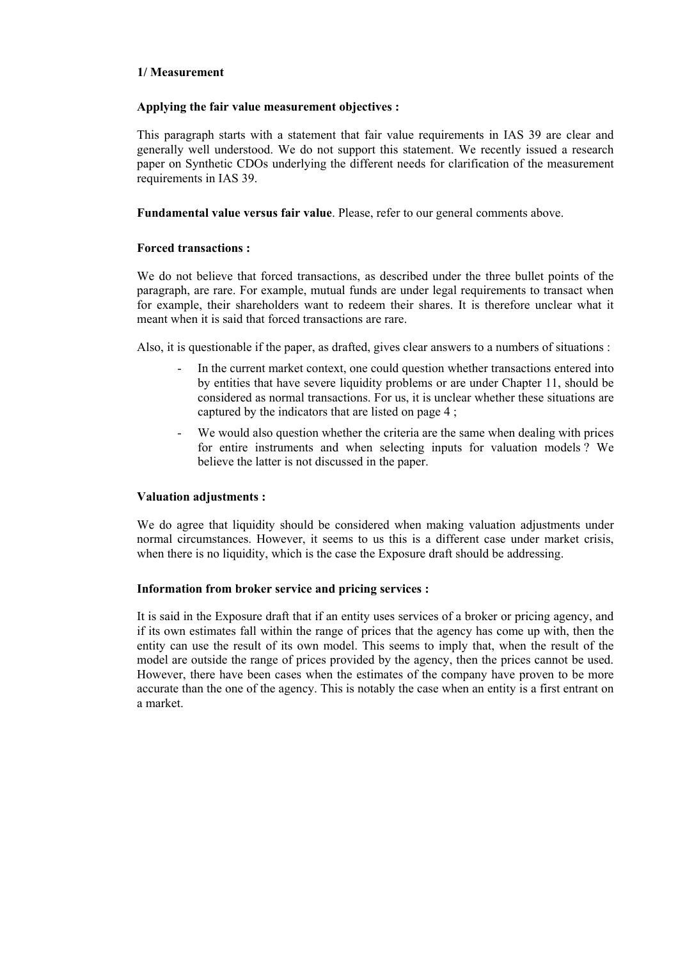### **1/ Measurement**

### **Applying the fair value measurement objectives :**

This paragraph starts with a statement that fair value requirements in IAS 39 are clear and generally well understood. We do not support this statement. We recently issued a research paper on Synthetic CDOs underlying the different needs for clarification of the measurement requirements in IAS 39.

**Fundamental value versus fair value**. Please, refer to our general comments above.

## **Forced transactions :**

We do not believe that forced transactions, as described under the three bullet points of the paragraph, are rare. For example, mutual funds are under legal requirements to transact when for example, their shareholders want to redeem their shares. It is therefore unclear what it meant when it is said that forced transactions are rare.

Also, it is questionable if the paper, as drafted, gives clear answers to a numbers of situations :

- In the current market context, one could question whether transactions entered into by entities that have severe liquidity problems or are under Chapter 11, should be considered as normal transactions. For us, it is unclear whether these situations are captured by the indicators that are listed on page 4 ;
- We would also question whether the criteria are the same when dealing with prices for entire instruments and when selecting inputs for valuation models ? We believe the latter is not discussed in the paper.

### **Valuation adjustments :**

We do agree that liquidity should be considered when making valuation adjustments under normal circumstances. However, it seems to us this is a different case under market crisis, when there is no liquidity, which is the case the Exposure draft should be addressing.

# **Information from broker service and pricing services :**

It is said in the Exposure draft that if an entity uses services of a broker or pricing agency, and if its own estimates fall within the range of prices that the agency has come up with, then the entity can use the result of its own model. This seems to imply that, when the result of the model are outside the range of prices provided by the agency, then the prices cannot be used. However, there have been cases when the estimates of the company have proven to be more accurate than the one of the agency. This is notably the case when an entity is a first entrant on a market.